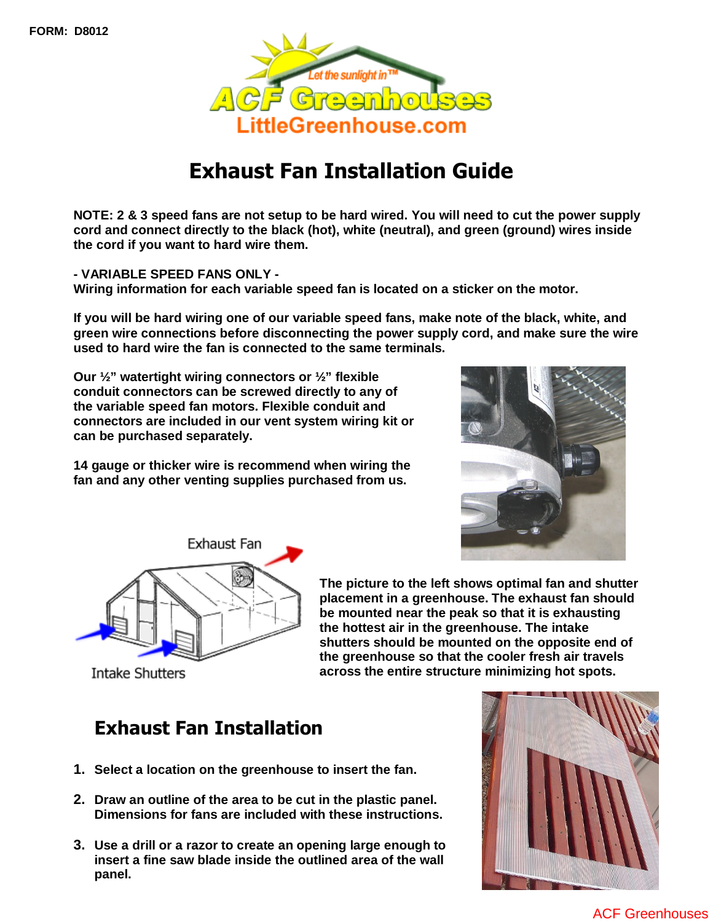

# Exhaust Fan Installation Guide

**NOTE: 2 & 3 speed fans are not setup to be hard wired. You will need to cut the power supply cord and connect directly to the black (hot), white (neutral), and green (ground) wires inside the cord if you want to hard wire them.** 

**- VARIABLE SPEED FANS ONLY - Wiring information for each variable speed fan is located on a sticker on the motor.** 

**If you will be hard wiring one of our variable speed fans, make note of the black, white, and green wire connections before disconnecting the power supply cord, and make sure the wire used to hard wire the fan is connected to the same terminals.** 

**Our ½" watertight wiring connectors or ½" flexible conduit connectors can be screwed directly to any of the variable speed fan motors. Flexible conduit and connectors are included in our vent system wiring kit or can be purchased separately.** 

**14 gauge or thicker wire is recommend when wiring the fan and any other venting supplies purchased from us.** 





**The picture to the left shows optimal fan and shutter placement in a greenhouse. The exhaust fan should be mounted near the peak so that it is exhausting the hottest air in the greenhouse. The intake shutters should be mounted on the opposite end of the greenhouse so that the cooler fresh air travels across the entire structure minimizing hot spots.**

Intake Shutters

## Exhaust Fan Installation

- **1. Select a location on the greenhouse to insert the fan.**
- **2. Draw an outline of the area to be cut in the plastic panel. Dimensions for fans are included with these instructions.**
- **3. Use a drill or a razor to create an opening large enough to insert a fine saw blade inside the outlined area of the wall panel.**



 [ACF Greenhouses](http://www.littlegreenhouse.com)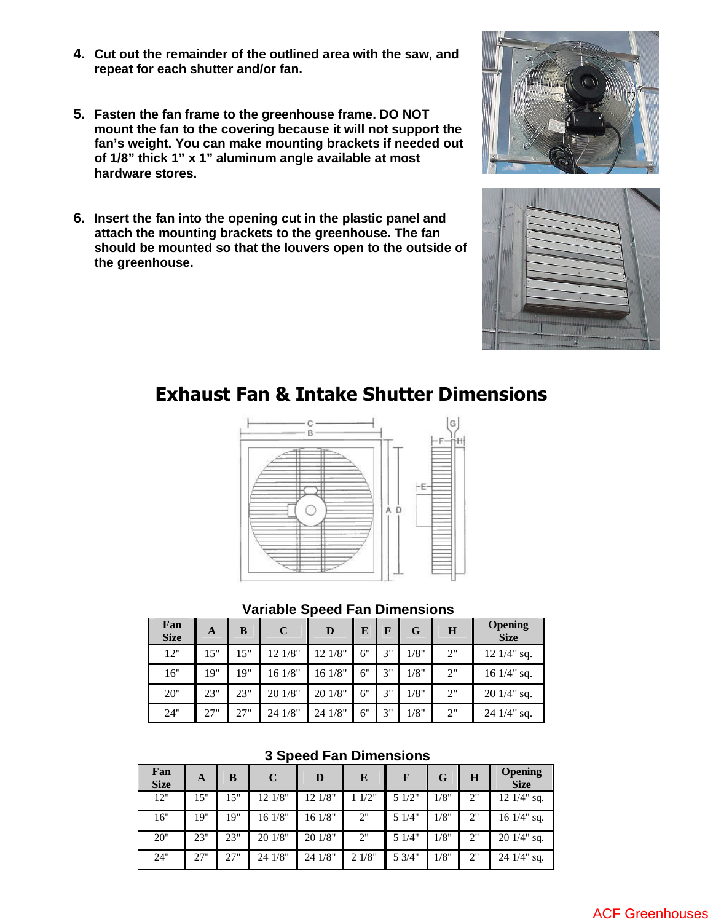- **4. Cut out the remainder of the outlined area with the saw, and repeat for each shutter and/or fan.**
- **5. Fasten the fan frame to the greenhouse frame. DO NOT mount the fan to the covering because it will not support the fan's weight. You can make mounting brackets if needed out of 1/8" thick 1" x 1" aluminum angle available at most hardware stores.**
- **6. Insert the fan into the opening cut in the plastic panel and attach the mounting brackets to the greenhouse. The fan should be mounted so that the louvers open to the outside of the greenhouse.**





### Exhaust Fan & Intake Shutter Dimensions



#### **Variable Speed Fan Dimensions**

| Fan<br><b>Size</b> | A   | B   | $\mathbf C$ | D       | E  | F  | G    | H  | <b>Opening</b><br><b>Size</b> |
|--------------------|-----|-----|-------------|---------|----|----|------|----|-------------------------------|
| 12"                | 15" | 15" | 12 1/8"     | 12 1/8" | 6" | 3" | 1/8" | 2" | $12 \frac{1}{4}$ " sq.        |
| 16"                | 19" | 19" | 16 1/8"     | 16 1/8" | 6" | 3" | 1/8" | 2" | $16 \frac{1}{4}$ sq.          |
| 20"                | 23" | 23" | 20 1/8"     | 20 1/8" | 6" | 3" | 1/8" | 2" | $201/4$ " sq.                 |
| 24"                | 27" | 27" | 24 1/8"     | 24 1/8" | 6" | 3" | 1/8" | 2" | $24 \frac{1}{4}$ sq.          |

#### **3 Speed Fan Dimensions**

| Fan<br><b>Size</b> | A   | B   | C       | D       | E     | F      | G    | H  | <b>Opening</b><br><b>Size</b> |
|--------------------|-----|-----|---------|---------|-------|--------|------|----|-------------------------------|
| 12"                | 15" | 15" | 12 1/8" | 12 1/8" | 1/2"  | 5 1/2" | /8"  | 2" | $12 \frac{1}{4}$ sq.          |
| 16"                | 19" | 19" | 16 1/8" | 16 1/8" | 2"    | 5 1/4" | /8"  | 2" | 16 $1/4$ " sq.                |
| 20"                | 23" | 23" | 20 1/8" | 20 1/8" | 2"    | 51/4"  | 1/8" | 2" | $201/4"$ sq.                  |
| 24"                | 27" | 27" | 24 1/8" | 24 1/8" | 21/8" | 5 3/4" | 1/8" | 2" | $24 \frac{1}{4}$ sq.          |